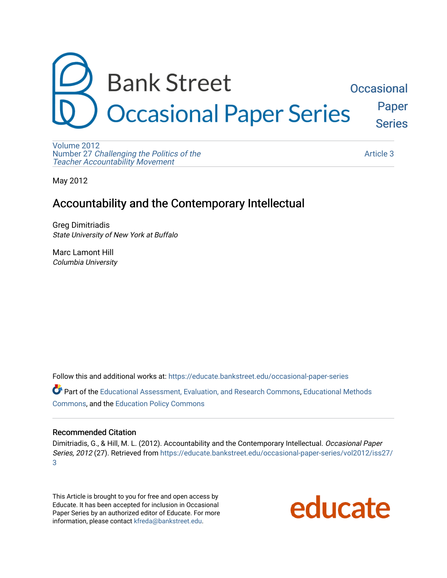

[Volume 2012](https://educate.bankstreet.edu/occasional-paper-series/vol2012)  Number 27 [Challenging the Politics of the](https://educate.bankstreet.edu/occasional-paper-series/vol2012/iss27)  [Teacher Accountability Movement](https://educate.bankstreet.edu/occasional-paper-series/vol2012/iss27)

[Article 3](https://educate.bankstreet.edu/occasional-paper-series/vol2012/iss27/3) 

May 2012

## Accountability and the Contemporary Intellectual

Greg Dimitriadis State University of New York at Buffalo

Marc Lamont Hill Columbia University

Follow this and additional works at: [https://educate.bankstreet.edu/occasional-paper-series](https://educate.bankstreet.edu/occasional-paper-series?utm_source=educate.bankstreet.edu%2Foccasional-paper-series%2Fvol2012%2Fiss27%2F3&utm_medium=PDF&utm_campaign=PDFCoverPages) 

Part of the [Educational Assessment, Evaluation, and Research Commons](http://network.bepress.com/hgg/discipline/796?utm_source=educate.bankstreet.edu%2Foccasional-paper-series%2Fvol2012%2Fiss27%2F3&utm_medium=PDF&utm_campaign=PDFCoverPages), [Educational Methods](http://network.bepress.com/hgg/discipline/1227?utm_source=educate.bankstreet.edu%2Foccasional-paper-series%2Fvol2012%2Fiss27%2F3&utm_medium=PDF&utm_campaign=PDFCoverPages)  [Commons](http://network.bepress.com/hgg/discipline/1227?utm_source=educate.bankstreet.edu%2Foccasional-paper-series%2Fvol2012%2Fiss27%2F3&utm_medium=PDF&utm_campaign=PDFCoverPages), and the [Education Policy Commons](http://network.bepress.com/hgg/discipline/1026?utm_source=educate.bankstreet.edu%2Foccasional-paper-series%2Fvol2012%2Fiss27%2F3&utm_medium=PDF&utm_campaign=PDFCoverPages)

#### Recommended Citation

Dimitriadis, G., & Hill, M. L. (2012). Accountability and the Contemporary Intellectual. Occasional Paper Series, 2012 (27). Retrieved from [https://educate.bankstreet.edu/occasional-paper-series/vol2012/iss27/](https://educate.bankstreet.edu/occasional-paper-series/vol2012/iss27/3?utm_source=educate.bankstreet.edu%2Foccasional-paper-series%2Fvol2012%2Fiss27%2F3&utm_medium=PDF&utm_campaign=PDFCoverPages) [3](https://educate.bankstreet.edu/occasional-paper-series/vol2012/iss27/3?utm_source=educate.bankstreet.edu%2Foccasional-paper-series%2Fvol2012%2Fiss27%2F3&utm_medium=PDF&utm_campaign=PDFCoverPages) 

This Article is brought to you for free and open access by Educate. It has been accepted for inclusion in Occasional Paper Series by an authorized editor of Educate. For more information, please contact [kfreda@bankstreet.edu.](mailto:kfreda@bankstreet.edu)

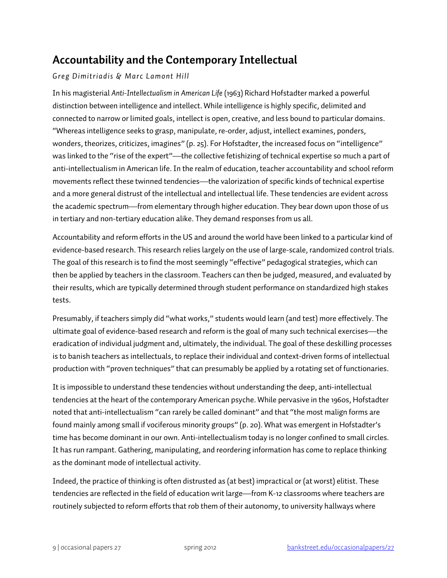# **Accountability and the Contemporary Intellectual**

### *Greg Dimitriadis & Marc Lamont Hill*

In his magisterial *Anti-Intellectualism in American Life* (1963) Richard Hofstadter marked a powerful distinction between intelligence and intellect. While intelligence is highly specific, delimited and connected to narrow or limited goals, intellect is open, creative, and less bound to particular domains. "Whereas intelligence seeks to grasp, manipulate, re-order, adjust, intellect examines, ponders, wonders, theorizes, criticizes, imagines" (p. 25). For Hofstadter, the increased focus on "intelligence" was linked to the "rise of the expert"—the collective fetishizing of technical expertise so much a part of anti-intellectualism in American life. In the realm of education, teacher accountability and school reform movements reflect these twinned tendencies—the valorization of specific kinds of technical expertise and a more general distrust of the intellectual and intellectual life. These tendencies are evident across the academic spectrum—from elementary through higher education. They bear down upon those of us in tertiary and non-tertiary education alike. They demand responses from us all.

Accountability and reform efforts in the US and around the world have been linked to a particular kind of evidence-based research. This research relies largely on the use of large-scale, randomized control trials. The goal of this research is to find the most seemingly "effective" pedagogical strategies, which can then be applied by teachers in the classroom. Teachers can then be judged, measured, and evaluated by their results, which are typically determined through student performance on standardized high stakes tests.

Presumably, if teachers simply did "what works," students would learn (and test) more effectively. The ultimate goal of evidence-based research and reform is the goal of many such technical exercises—the eradication of individual judgment and, ultimately, the individual. The goal of these deskilling processes is to banish teachers as intellectuals, to replace their individual and context-driven forms of intellectual production with "proven techniques" that can presumably be applied by a rotating set of functionaries.

It is impossible to understand these tendencies without understanding the deep, anti-intellectual tendencies at the heart of the contemporary American psyche. While pervasive in the 1960s, Hofstadter noted that anti-intellectualism "can rarely be called dominant" and that "the most malign forms are found mainly among small if vociferous minority groups" (p. 20). What was emergent in Hofstadter's time has become dominant in our own. Anti-intellectualism today is no longer confined to small circles. It has run rampant. Gathering, manipulating, and reordering information has come to replace thinking as the dominant mode of intellectual activity.

Indeed, the practice of thinking is often distrusted as (at best) impractical or (at worst) elitist. These tendencies are reflected in the field of education writ large—from K-12 classrooms where teachers are routinely subjected to reform efforts that rob them of their autonomy, to university hallways where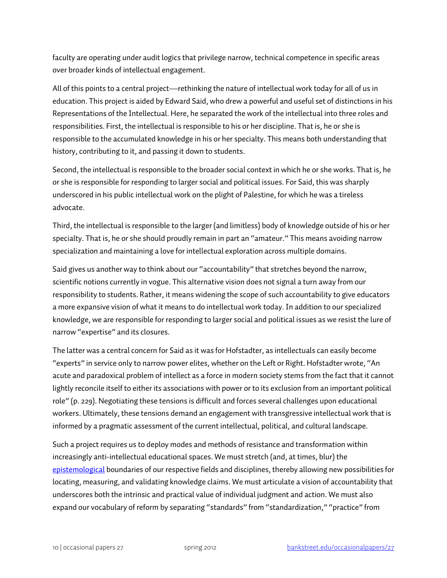faculty are operating under audit logics that privilege narrow, technical competence in specific areas over broader kinds of intellectual engagement.

All of this points to a central project—rethinking the nature of intellectual work today for all of us in education. This project is aided by Edward Said, who drew a powerful and useful set of distinctions in his Representations of the Intellectual. Here, he separated the work of the intellectual into three roles and responsibilities. First, the intellectual is responsible to his or her discipline. That is, he or she is responsible to the accumulated knowledge in his or her specialty. This means both understanding that history, contributing to it, and passing it down to students.

Second, the intellectual is responsible to the broader social context in which he or she works. That is, he or she is responsible for responding to larger social and political issues. For Said, this was sharply underscored in his public intellectual work on the plight of Palestine, for which he was a tireless advocate.

Third, the intellectual is responsible to the larger (and limitless) body of knowledge outside of his or her specialty. That is, he or she should proudly remain in part an "amateur." This means avoiding narrow specialization and maintaining a love for intellectual exploration across multiple domains.

Said gives us another way to think about our "accountability" that stretches beyond the narrow, scientific notions currently in vogue. This alternative vision does not signal a turn away from our responsibility to students. Rather, it means widening the scope of such accountability to give educators a more expansive vision of what it means to do intellectual work today.In addition to our specialized knowledge, we are responsible for responding to larger social and political issues as we resist the lure of narrow "expertise" and its closures.

The latter was a central concern for Said as it was for Hofstadter, as intellectuals can easily become "experts" in service only to narrow power elites, whether on the Left or Right. Hofstadter wrote, "An acute and paradoxical problem of intellect as a force in modern society stems from the fact that it cannot lightly reconcile itself to either its associations with power or to its exclusion from an important political role" (p. 229). Negotiating these tensions is difficult and forces several challenges upon educational workers. Ultimately, these tensions demand an engagement with transgressive intellectual work that is informed by a pragmatic assessment of the current intellectual, political, and cultural landscape.

Such a project requires us to deploy modes and methods of resistance and transformation within increasingly anti-intellectual educational spaces. We must stretch (and, at times, blur) the [epistemological](http://www.merriam-webster.com/dictionary/epistemology) boundaries of our respective fields and disciplines, thereby allowing new possibilities for locating, measuring, and validating knowledge claims. We must articulate a vision of accountability that underscores both the intrinsic and practical value of individual judgment and action. We must also expand our vocabulary of reform by separating "standards" from "standardization," "practice" from